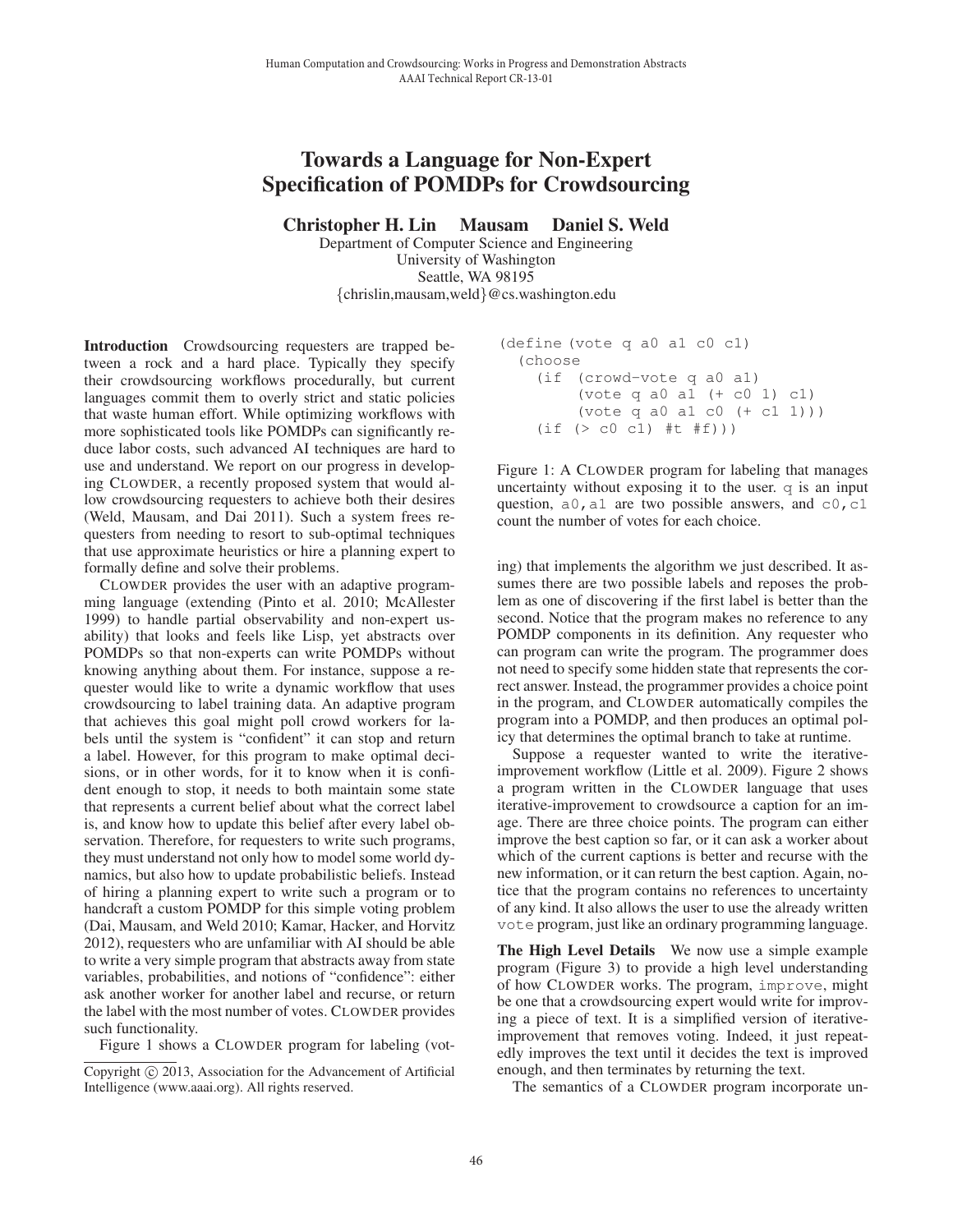## Towards a Language for Non-Expert Specification of POMDPs for Crowdsourcing

Christopher H. Lin Mausam Daniel S. Weld

Department of Computer Science and Engineering University of Washington Seattle, WA 98195 {chrislin,mausam,weld}@cs.washington.edu

Introduction Crowdsourcing requesters are trapped between a rock and a hard place. Typically they specify their crowdsourcing workflows procedurally, but current languages commit them to overly strict and static policies that waste human effort. While optimizing workflows with more sophisticated tools like POMDPs can significantly reduce labor costs, such advanced AI techniques are hard to use and understand. We report on our progress in developing CLOWDER, a recently proposed system that would allow crowdsourcing requesters to achieve both their desires (Weld, Mausam, and Dai 2011). Such a system frees requesters from needing to resort to sub-optimal techniques that use approximate heuristics or hire a planning expert to formally define and solve their problems.

CLOWDER provides the user with an adaptive programming language (extending (Pinto et al. 2010; McAllester 1999) to handle partial observability and non-expert usability) that looks and feels like Lisp, yet abstracts over POMDPs so that non-experts can write POMDPs without knowing anything about them. For instance, suppose a requester would like to write a dynamic workflow that uses crowdsourcing to label training data. An adaptive program that achieves this goal might poll crowd workers for labels until the system is "confident" it can stop and return a label. However, for this program to make optimal decisions, or in other words, for it to know when it is confident enough to stop, it needs to both maintain some state that represents a current belief about what the correct label is, and know how to update this belief after every label observation. Therefore, for requesters to write such programs, they must understand not only how to model some world dynamics, but also how to update probabilistic beliefs. Instead of hiring a planning expert to write such a program or to handcraft a custom POMDP for this simple voting problem (Dai, Mausam, and Weld 2010; Kamar, Hacker, and Horvitz 2012), requesters who are unfamiliar with AI should be able to write a very simple program that abstracts away from state variables, probabilities, and notions of "confidence": either ask another worker for another label and recurse, or return the label with the most number of votes. CLOWDER provides such functionality. 46 Human Computation and Crowdsourcing: Works in Progress and Demonstration Abstracts

Figure 1 shows a CLOWDER program for labeling (vot-

```
(define (vote q a0 a1 c0 c1)
(choose
  (if (crowd-vote q a0 a1)
       (vote q a0 a1 (+ c0 1) c1)
       (vote q a0 a1 c0 (+ c1 1)))
   (if (> c0 c1) #t #f)))
```
Figure 1: A CLOWDER program for labeling that manages uncertainty without exposing it to the user. q is an input question,  $a0$ ,  $a1$  are two possible answers, and  $c0$ ,  $c1$ count the number of votes for each choice.

ing) that implements the algorithm we just described. It assumes there are two possible labels and reposes the problem as one of discovering if the first label is better than the second. Notice that the program makes no reference to any POMDP components in its definition. Any requester who can program can write the program. The programmer does not need to specify some hidden state that represents the correct answer. Instead, the programmer provides a choice point in the program, and CLOWDER automatically compiles the program into a POMDP, and then produces an optimal policy that determines the optimal branch to take at runtime.

Suppose a requester wanted to write the iterativeimprovement workflow (Little et al. 2009). Figure 2 shows a program written in the CLOWDER language that uses iterative-improvement to crowdsource a caption for an image. There are three choice points. The program can either improve the best caption so far, or it can ask a worker about which of the current captions is better and recurse with the new information, or it can return the best caption. Again, notice that the program contains no references to uncertainty of any kind. It also allows the user to use the already written vote program, just like an ordinary programming language.

The High Level Details We now use a simple example program (Figure 3) to provide a high level understanding of how CLOWDER works. The program, improve, might be one that a crowdsourcing expert would write for improving a piece of text. It is a simplified version of iterativeimprovement that removes voting. Indeed, it just repeatedly improves the text until it decides the text is improved enough, and then terminates by returning the text.

The semantics of a CLOWDER program incorporate un-

Copyright (c) 2013, Association for the Advancement of Artificial Intelligence (www.aaai.org). All rights reserved.